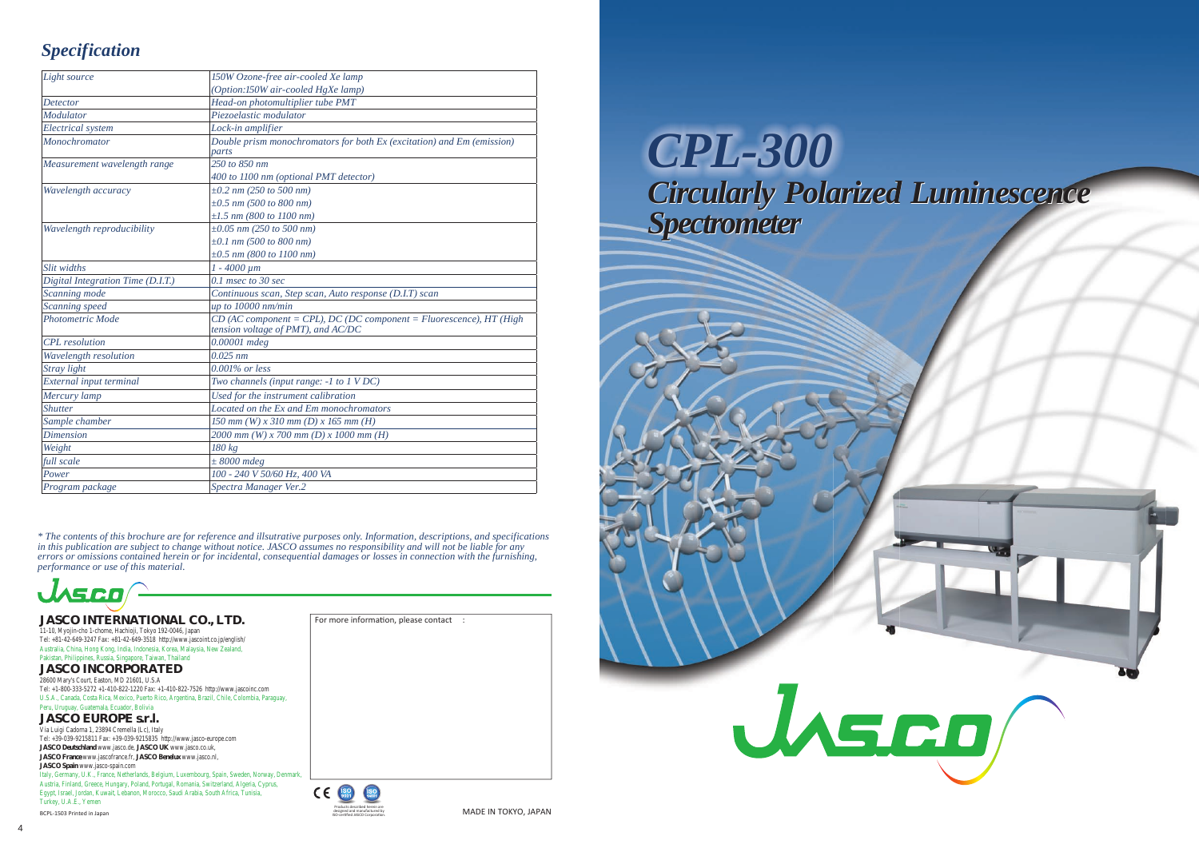#### **JASCO INTERNATIONAL CO., LTD.**

11-10, Myojin-cho 1-chome, Hachioji, Tokyo 192-0046, Japan Tel: +81-42-649-3247 Fax: +81-42-649-3518 http://www.jascoint.co.jp/english/ Australia, China, Hong Kong, India, Indonesia, Korea, Malaysia, New Zealand, Pakistan, Philippines, Russia, Singapore, Taiwan, Thailand

#### **JASCO EUROPE s.r.l.**

Via Luigi Cadorna 1, 23894 Cremella (Lc), Italy Tel: +39-039-9215811 Fax: +39-039-9215835 http://www.jasco-europe.com **JASCO Deutschland www.jasco.de, <b>JASCO UK** www.jasco.co.uk, **JASCO France** www.jascofrance.fr, **JASCO Benelux** www.jasco.nl, **JASCO Spain** www.jasco-spain.com Italy, Germany, U.K., France, Netherlands, Belgium, Luxembourg, Spain, Sweden, Norway, Denmark Austria, Finland, Greece, Hungary, Poland, Portugal, Romania, Switzerland, Algeria, Cyprus, Egypt, Israel, Jordan, Kuwait, Lebanon, Morocco, Saudi Arabia, South Africa, Tunisia, Turkey, U.A.E., Yemen

**JASCO INCORPORATED**

28600 Mary's Court, Easton, MD 21601, U.S.A Tel: +1-800-333-5272 +1-410-822-1220 Fax: +1-410-822-7526 http://www.jascoinc.com U.S.A., Canada, Costa Rica, Mexico, Puerto Rico, Argentina, Brazil, Chile, Colombia, Paraguay, Peru, Uruguay, Guatemala, Ecuador, Bolivia

BCPL-1503 Printed in Japan



For more information, please contact

| Light source                      | 150W Ozone-free air-cooled Xe lamp                                                                          |
|-----------------------------------|-------------------------------------------------------------------------------------------------------------|
|                                   | (Option:150W air-cooled HgXe lamp)                                                                          |
| <b>Detector</b>                   | Head-on photomultiplier tube PMT                                                                            |
| Modulator                         | Piezoelastic modulator                                                                                      |
| <b>Electrical</b> system          | Lock-in amplifier                                                                                           |
| Monochromator                     | Double prism monochromators for both Ex (excitation) and Em (emission)                                      |
|                                   | parts                                                                                                       |
| Measurement wavelength range      | 250 to 850 nm                                                                                               |
|                                   | 400 to 1100 nm (optional PMT detector)                                                                      |
| Wavelength accuracy               | $\pm 0.2$ nm (250 to 500 nm)                                                                                |
|                                   | $\pm 0.5$ nm (500 to 800 nm)                                                                                |
|                                   | $\pm 1.5$ nm (800 to 1100 nm)                                                                               |
| Wavelength reproducibility        | $\pm 0.05$ nm (250 to 500 nm)                                                                               |
|                                   | $\pm 0.1$ nm (500 to 800 nm)                                                                                |
|                                   | $\pm 0.5$ nm (800 to 1100 nm)                                                                               |
| Slit widths                       | $1 - 4000 \mu m$                                                                                            |
| Digital Integration Time (D.I.T.) | $0.1$ msec to 30 sec                                                                                        |
| Scanning mode                     | Continuous scan, Step scan, Auto response (D.I.T) scan                                                      |
| Scanning speed                    | up to 10000 nm/min                                                                                          |
| Photometric Mode                  | $CD$ (AC component = CPL), DC (DC component = Fluorescence), HT (High<br>tension voltage of PMT), and AC/DC |
| <b>CPL</b> resolution             | 0.00001 mdeg                                                                                                |
| Wavelength resolution             | $0.025$ nm                                                                                                  |
| Stray light                       | $0.001\%$ or less                                                                                           |
| External input terminal           | Two channels (input range: -1 to 1 VDC)                                                                     |
| Mercury lamp                      | Used for the instrument calibration                                                                         |
| <b>Shutter</b>                    | Located on the Ex and Em monochromators                                                                     |
| Sample chamber                    | 150 mm (W) x 310 mm (D) x 165 mm (H)                                                                        |
| <b>Dimension</b>                  | 2000 mm (W) x 700 mm (D) x 1000 mm (H)                                                                      |
| Weight                            | 180 kg                                                                                                      |
| full scale                        | $\pm 8000$ mdeg                                                                                             |
| Power                             | 100 - 240 V 50/60 Hz, 400 VA                                                                                |
| Program package                   | Spectra Manager Ver.2                                                                                       |

# *Specification*

*CPL-300 Circularly Polarized Luminescence Circularly Polarized Luminescence Spectrometer Spectrometer*





*\* The contents of this brochure are for reference and illsutrative purposes only. Information, descriptions, and specifications in this publication are subject to change without notice. JASCO assumes no responsibility and will not be liable for any errors or omissions contained herein or for incidental, consequential damages or losses in connection with the furnishing, performance or use of this material.*

WSCO